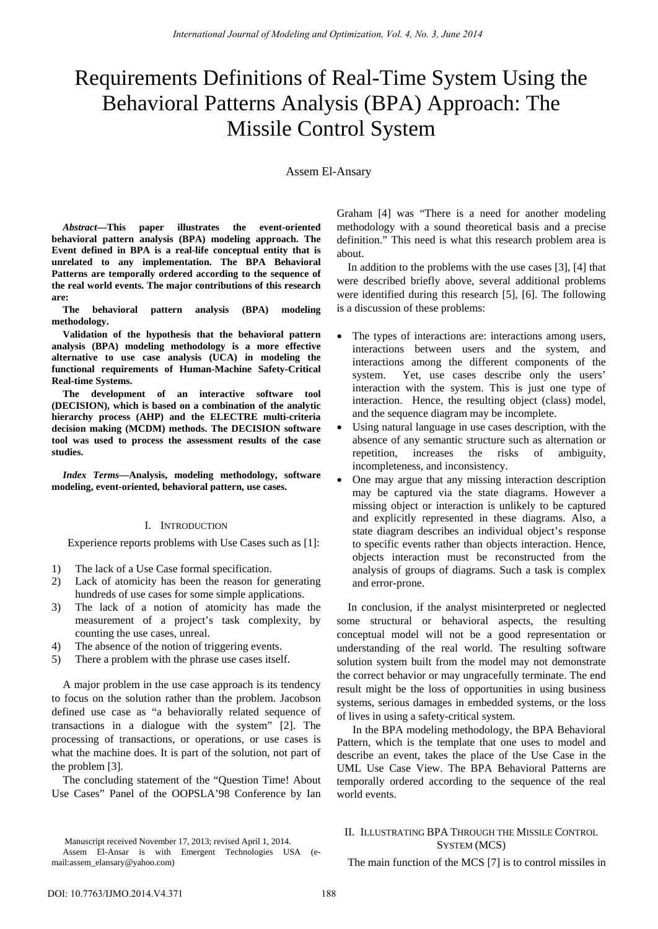# Requirements Definitions of Real-Time System Using the Behavioral Patterns Analysis (BPA) Approach: The Missile Control System

Assem El-Ansary

*Abstract***—This paper illustrates the event-oriented behavioral pattern analysis (BPA) modeling approach. The Event defined in BPA is a real-life conceptual entity that is unrelated to any implementation. The BPA Behavioral Patterns are temporally ordered according to the sequence of the real world events. The major contributions of this research are:** 

**The behavioral pattern analysis (BPA) modeling methodology.** 

**Validation of the hypothesis that the behavioral pattern analysis (BPA) modeling methodology is a more effective alternative to use case analysis (UCA) in modeling the functional requirements of Human-Machine Safety-Critical Real-time Systems.** 

**The development of an interactive software tool (DECISION), which is based on a combination of the analytic hierarchy process (AHP) and the ELECTRE multi-criteria decision making (MCDM) methods. The DECISION software tool was used to process the assessment results of the case studies.** 

*Index Terms—***Analysis, modeling methodology, software modeling, event-oriented, behavioral pattern, use cases.** 

## I. INTRODUCTION

Experience reports problems with Use Cases such as [1]:

- 1) The lack of a Use Case formal specification.
- 2) Lack of atomicity has been the reason for generating hundreds of use cases for some simple applications.
- 3) The lack of a notion of atomicity has made the measurement of a project's task complexity, by counting the use cases, unreal.
- 4) The absence of the notion of triggering events.
- 5) There a problem with the phrase use cases itself.

A major problem in the use case approach is its tendency to focus on the solution rather than the problem. Jacobson defined use case as "a behaviorally related sequence of transactions in a dialogue with the system" [2]. The processing of transactions, or operations, or use cases is what the machine does. It is part of the solution, not part of the problem [3].

The concluding statement of the "Question Time! About Use Cases" Panel of the OOPSLA'98 Conference by Ian Graham [4] was "There is a need for another modeling methodology with a sound theoretical basis and a precise definition." This need is what this research problem area is about.

In addition to the problems with the use cases [3], [4] that were described briefly above, several additional problems were identified during this research [5], [6]. The following is a discussion of these problems:

- The types of interactions are: interactions among users, interactions between users and the system, and interactions among the different components of the system. Yet, use cases describe only the users' interaction with the system. This is just one type of interaction. Hence, the resulting object (class) model, and the sequence diagram may be incomplete.
- Using natural language in use cases description, with the absence of any semantic structure such as alternation or repetition, increases the risks of ambiguity, incompleteness, and inconsistency.
- One may argue that any missing interaction description may be captured via the state diagrams. However a missing object or interaction is unlikely to be captured and explicitly represented in these diagrams. Also, a state diagram describes an individual object's response to specific events rather than objects interaction. Hence, objects interaction must be reconstructed from the analysis of groups of diagrams. Such a task is complex and error-prone.

In conclusion, if the analyst misinterpreted or neglected some structural or behavioral aspects, the resulting conceptual model will not be a good representation or understanding of the real world. The resulting software solution system built from the model may not demonstrate the correct behavior or may ungracefully terminate. The end result might be the loss of opportunities in using business systems, serious damages in embedded systems, or the loss of lives in using a safety-critical system.

In the BPA modeling methodology, the BPA Behavioral Pattern, which is the template that one uses to model and describe an event, takes the place of the Use Case in the UML Use Case View. The BPA Behavioral Patterns are temporally ordered according to the sequence of the real world events.

## II. ILLUSTRATING BPA THROUGH THE MISSILE CONTROL SYSTEM (MCS)

The main function of the MCS [7] is to control missiles in

Manuscript received November 17, 2013; revised April 1, 2014.

[Assem El-Ansar is with](mailto:assem_elansary@yahoo.com) Emergent Technologies USA (email:assem\_elansary@yahoo.com)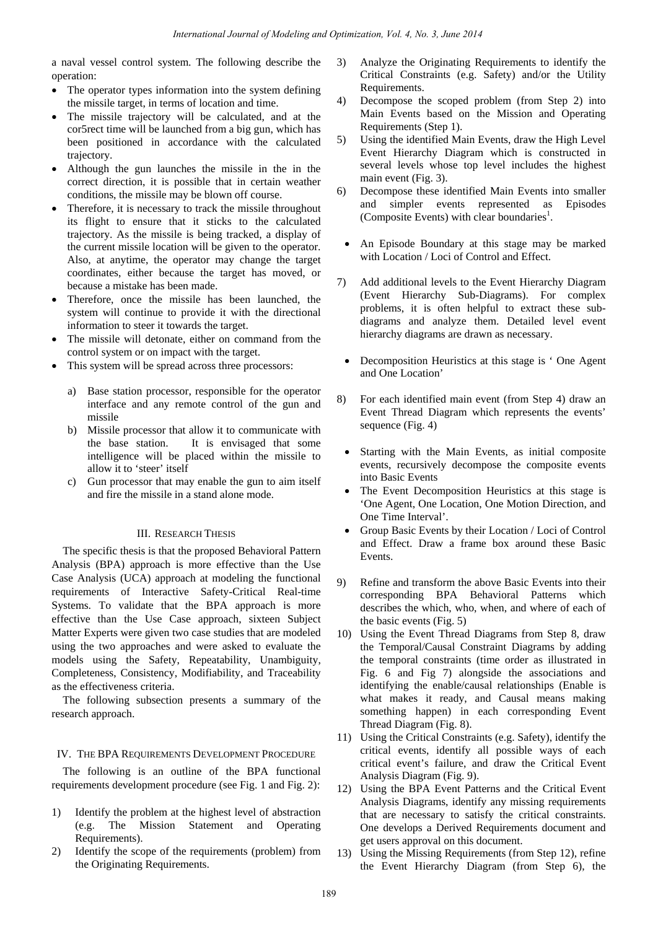a naval vessel control system. The following describe the operation:

- The operator types information into the system defining the missile target, in terms of location and time.
- The missile trajectory will be calculated, and at the cor5rect time will be launched from a big gun, which has been positioned in accordance with the calculated trajectory.
- Although the gun launches the missile in the in the correct direction, it is possible that in certain weather conditions, the missile may be blown off course.
- Therefore, it is necessary to track the missile throughout its flight to ensure that it sticks to the calculated trajectory. As the missile is being tracked, a display of the current missile location will be given to the operator. Also, at anytime, the operator may change the target coordinates, either because the target has moved, or because a mistake has been made.
- Therefore, once the missile has been launched, the system will continue to provide it with the directional information to steer it towards the target.
- The missile will detonate, either on command from the control system or on impact with the target.
- This system will be spread across three processors:
	- a) Base station processor, responsible for the operator interface and any remote control of the gun and missile
	- b) Missile processor that allow it to communicate with the base station. It is envisaged that some intelligence will be placed within the missile to allow it to 'steer' itself
	- c) Gun processor that may enable the gun to aim itself and fire the missile in a stand alone mode.

## III. RESEARCH THESIS

The specific thesis is that the proposed Behavioral Pattern Analysis (BPA) approach is more effective than the Use Case Analysis (UCA) approach at modeling the functional requirements of Interactive Safety-Critical Real-time Systems. To validate that the BPA approach is more effective than the Use Case approach, sixteen Subject Matter Experts were given two case studies that are modeled using the two approaches and were asked to evaluate the models using the Safety, Repeatability, Unambiguity, Completeness, Consistency, Modifiability, and Traceability as the effectiveness criteria.

The following subsection presents a summary of the research approach.

# IV. THE BPA REQUIREMENTS DEVELOPMENT PROCEDURE

The following is an outline of the BPA functional requirements development procedure (see Fig. 1 and Fig. 2):

- 1) Identify the problem at the highest level of abstraction (e.g. The Mission Statement and Operating Requirements).
- 2) Identify the scope of the requirements (problem) from the Originating Requirements.
- 3) Analyze the Originating Requirements to identify the Critical Constraints (e.g. Safety) and/or the Utility Requirements.
- 4) Decompose the scoped problem (from Step 2) into Main Events based on the Mission and Operating Requirements (Step 1).
- 5) Using the identified Main Events, draw the High Level Event Hierarchy Diagram which is constructed in several levels whose top level includes the highest main event (Fig. 3).
- 6) Decompose these identified Main Events into smaller and simpler events represented as Episodes (Composite Events) with clear boundaries<sup>1</sup>.
- An Episode Boundary at this stage may be marked with Location / Loci of Control and Effect.
- 7) Add additional levels to the Event Hierarchy Diagram (Event Hierarchy Sub-Diagrams). For complex problems, it is often helpful to extract these subdiagrams and analyze them. Detailed level event hierarchy diagrams are drawn as necessary.
- Decomposition Heuristics at this stage is ' One Agent and One Location'
- 8) For each identified main event (from Step 4) draw an Event Thread Diagram which represents the events' sequence (Fig. 4)
	- Starting with the Main Events, as initial composite events, recursively decompose the composite events into Basic Events
	- The Event Decomposition Heuristics at this stage is 'One Agent, One Location, One Motion Direction, and One Time Interval'.
- Group Basic Events by their Location / Loci of Control and Effect. Draw a frame box around these Basic Events.
- 9) Refine and transform the above Basic Events into their corresponding BPA Behavioral Patterns which describes the which, who, when, and where of each of the basic events (Fig. 5)
- 10) Using the Event Thread Diagrams from Step 8, draw the Temporal/Causal Constraint Diagrams by adding the temporal constraints (time order as illustrated in Fig. 6 and Fig 7) alongside the associations and identifying the enable/causal relationships (Enable is what makes it ready, and Causal means making something happen) in each corresponding Event Thread Diagram (Fig. 8).
- 11) Using the Critical Constraints (e.g. Safety), identify the critical events, identify all possible ways of each critical event's failure, and draw the Critical Event Analysis Diagram (Fig. 9).
- 12) Using the BPA Event Patterns and the Critical Event Analysis Diagrams, identify any missing requirements that are necessary to satisfy the critical constraints. One develops a Derived Requirements document and get users approval on this document.
- 13) Using the Missing Requirements (from Step 12), refine the Event Hierarchy Diagram (from Step 6), the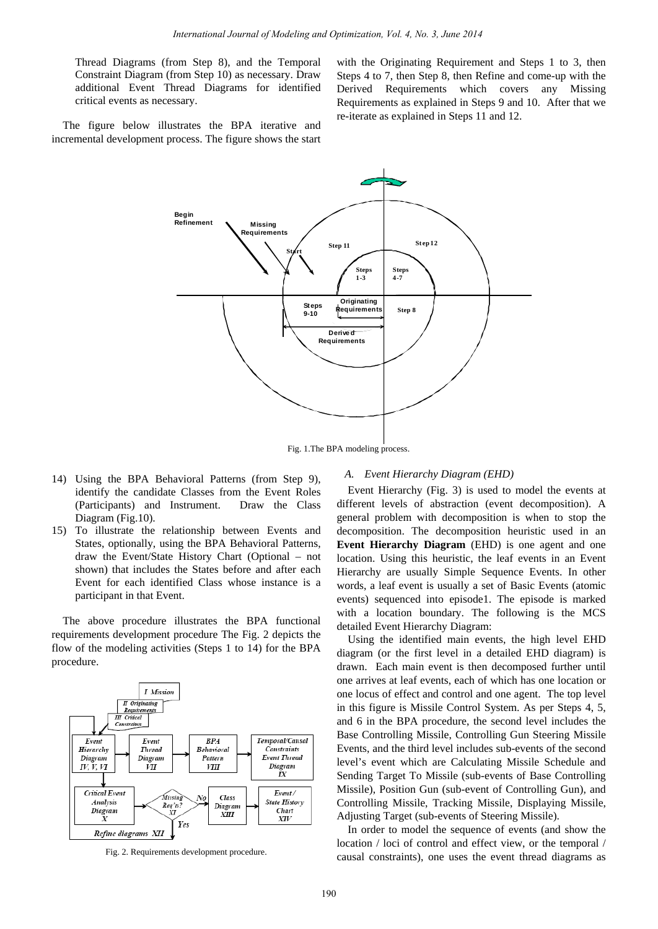Thread Diagrams (from Step 8), and the Temporal Constraint Diagram (from Step 10) as necessary. Draw additional Event Thread Diagrams for identified critical events as necessary.

with the Originating Requirement and Steps 1 to 3, then Steps 4 to 7, then Step 8, then Refine and come-up with the Derived Requirements which covers any Missing Requirements as explained in Steps 9 and 10. After that we re-iterate as explained in Steps 11 and 12.

The figure below illustrates the BPA iterative and incremental development process. The figure shows the start



- 14) Using the BPA Behavioral Patterns (from Step 9), identify the candidate Classes from the Event Roles (Participants) and Instrument. Draw the Class Diagram (Fig.10).
- 15) To illustrate the relationship between Events and States, optionally, using the BPA Behavioral Patterns, draw the Event/State History Chart (Optional – not shown) that includes the States before and after each Event for each identified Class whose instance is a participant in that Event.

The above procedure illustrates the BPA functional requirements development procedure The Fig. 2 depicts the flow of the modeling activities (Steps 1 to 14) for the BPA procedure.



Fig. 2. Requirements development procedure.

#### *A. Event Hierarchy Diagram (EHD)*

Event Hierarchy (Fig. 3) is used to model the events at different levels of abstraction (event decomposition). A general problem with decomposition is when to stop the decomposition. The decomposition heuristic used in an **Event Hierarchy Diagram** (EHD) is one agent and one location. Using this heuristic, the leaf events in an Event Hierarchy are usually Simple Sequence Events. In other words, a leaf event is usually a set of Basic Events (atomic events) sequenced into episode1. The episode is marked with a location boundary. The following is the MCS detailed Event Hierarchy Diagram:

Using the identified main events, the high level EHD diagram (or the first level in a detailed EHD diagram) is drawn. Each main event is then decomposed further until one arrives at leaf events, each of which has one location or one locus of effect and control and one agent. The top level in this figure is Missile Control System. As per Steps 4, 5, and 6 in the BPA procedure, the second level includes the Base Controlling Missile, Controlling Gun Steering Missile Events, and the third level includes sub-events of the second level's event which are Calculating Missile Schedule and Sending Target To Missile (sub-events of Base Controlling Missile), Position Gun (sub-event of Controlling Gun), and Controlling Missile, Tracking Missile, Displaying Missile, Adjusting Target (sub-events of Steering Missile).

In order to model the sequence of events (and show the location / loci of control and effect view, or the temporal / causal constraints), one uses the event thread diagrams as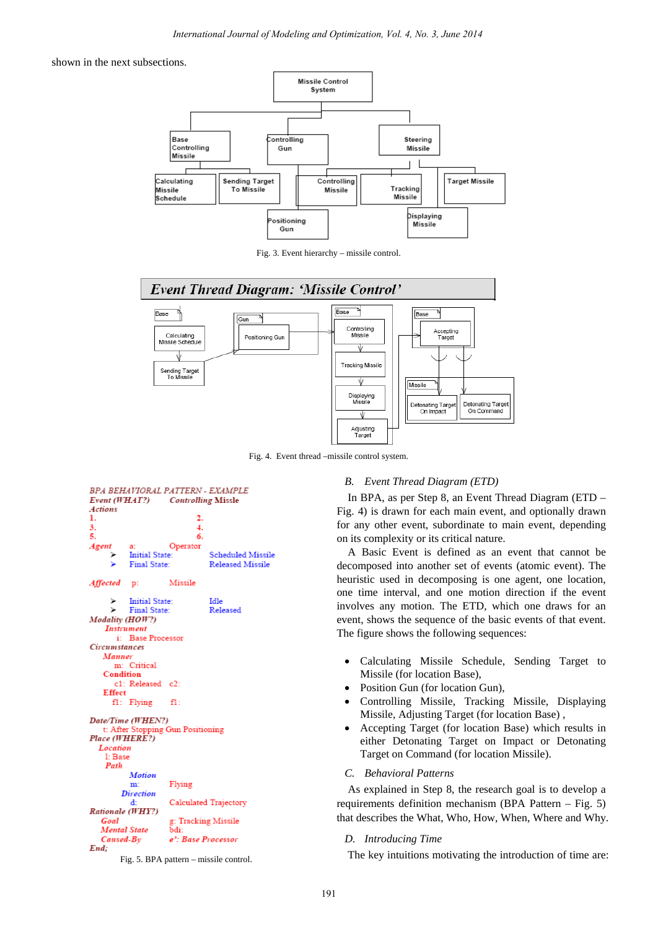shown in the next subsections.



Fig. 3. Event hierarchy – missile control.



Fig. 4. Event thread –missile control system.

## *B. Event Thread Diagram (ETD)*

In BPA, as per Step 8, an Event Thread Diagram (ETD – Fig. 4) is drawn for each main event, and optionally drawn for any other event, subordinate to main event, depending on its complexity or its critical nature.

A Basic Event is defined as an event that cannot be decomposed into another set of events (atomic event). The heuristic used in decomposing is one agent, one location, one time interval, and one motion direction if the event involves any motion. The ETD, which one draws for an event, shows the sequence of the basic events of that event. The figure shows the following sequences:

- Calculating Missile Schedule, Sending Target to Missile (for location Base),
- Position Gun (for location Gun),
- Controlling Missile, Tracking Missile, Displaying Missile, Adjusting Target (for location Base) ,
- Accepting Target (for location Base) which results in either Detonating Target on Impact or Detonating Target on Command (for location Missile).
- *C. Behavioral Patterns*

As explained in Step 8, the research goal is to develop a requirements definition mechanism (BPA Pattern – Fig. 5) that describes the What, Who, How, When, Where and Why.

#### *D. Introducing Time*

The key intuitions motivating the introduction of time are:

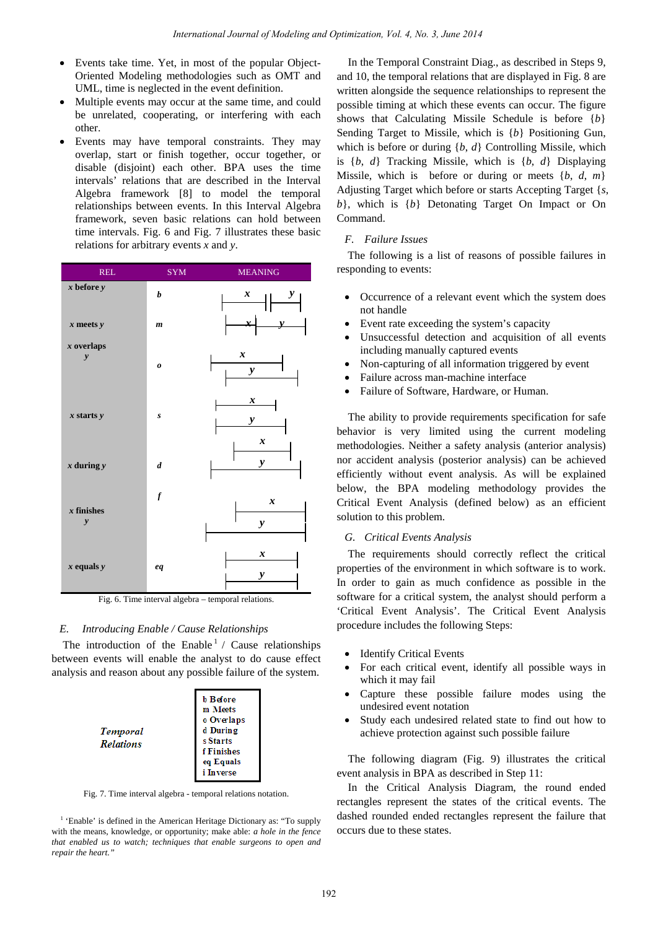- Events take time. Yet, in most of the popular Object-Oriented Modeling methodologies such as OMT and UML, time is neglected in the event definition.
- Multiple events may occur at the same time, and could be unrelated, cooperating, or interfering with each other.
- Events may have temporal constraints. They may overlap, start or finish together, occur together, or disable (disjoint) each other. BPA uses the time intervals' relations that are described in the Interval Algebra framework [8] to model the temporal relationships between events. In this Interval Algebra framework, seven basic relations can hold between time intervals. Fig. 6 and Fig. 7 illustrates these basic relations for arbitrary events *x* and *y*.

| $\operatorname{REL}$         | <b>SYM</b>            | <b>MEANING</b>                   |
|------------------------------|-----------------------|----------------------------------|
| $x$ before $y$               | b                     | $\boldsymbol{x}$<br>y            |
| $x$ meets $y$                | $\boldsymbol{m}$      | v                                |
| $x$ overlaps<br>$\mathbf{y}$ | $\boldsymbol{\theta}$ | x<br>$\mathbf{y}$                |
| $x$ starts $y$               | $\boldsymbol{s}$      | x<br>$\boldsymbol{y}$            |
| $x$ during $y$               | $\boldsymbol{d}$      | $\pmb{\mathcal{X}}$<br>y         |
| $x$ finishes<br>$\mathbf{y}$ | $\boldsymbol{f}$      | $\boldsymbol{x}$<br>$\mathbf{y}$ |
| $x$ equals $y$               | eq                    | $\pmb{\mathcal{X}}$<br>y         |

Fig. 6. Time interval algebra – temporal relations.

## *E. Introducing Enable / Cause Relationships*

The introduction of the Enable  $<sup>1</sup>$  / Cause relationships</sup> between events will enable the analyst to do cause effect analysis and reason about any possible failure of the system.



Fig. 7. Time interval algebra - temporal relations notation.

<sup>1</sup> 'Enable' is defined in the American Heritage Dictionary as: "To supply with the means, knowledge, or opportunity; make able: *a hole in the fence that enabled us to watch; techniques that enable surgeons to open and repair the heart."* 

In the Temporal Constraint Diag., as described in Steps 9, and 10, the temporal relations that are displayed in Fig. 8 are written alongside the sequence relationships to represent the possible timing at which these events can occur. The figure shows that Calculating Missile Schedule is before {*b*} Sending Target to Missile, which is {*b*} Positioning Gun, which is before or during {*b*, *d*} Controlling Missile, which is {*b*, *d*} Tracking Missile, which is {*b*, *d*} Displaying Missile, which is before or during or meets {*b*, *d*, *m*} Adjusting Target which before or starts Accepting Target {*s*, *b*}, which is {*b*} Detonating Target On Impact or On Command.

## *F. Failure Issues*

The following is a list of reasons of possible failures in responding to events:

- Occurrence of a relevant event which the system does not handle
- Event rate exceeding the system's capacity
- Unsuccessful detection and acquisition of all events including manually captured events
- Non-capturing of all information triggered by event
- Failure across man-machine interface
- Failure of Software, Hardware, or Human.

The ability to provide requirements specification for safe behavior is very limited using the current modeling methodologies. Neither a safety analysis (anterior analysis) nor accident analysis (posterior analysis) can be achieved efficiently without event analysis. As will be explained below, the BPA modeling methodology provides the Critical Event Analysis (defined below) as an efficient solution to this problem.

#### *G. Critical Events Analysis*

The requirements should correctly reflect the critical properties of the environment in which software is to work. In order to gain as much confidence as possible in the software for a critical system, the analyst should perform a 'Critical Event Analysis'. The Critical Event Analysis procedure includes the following Steps:

- **Identify Critical Events**
- For each critical event, identify all possible ways in which it may fail
- Capture these possible failure modes using the undesired event notation
- Study each undesired related state to find out how to achieve protection against such possible failure

The following diagram (Fig. 9) illustrates the critical event analysis in BPA as described in Step 11:

In the Critical Analysis Diagram, the round ended rectangles represent the states of the critical events. The dashed rounded ended rectangles represent the failure that occurs due to these states.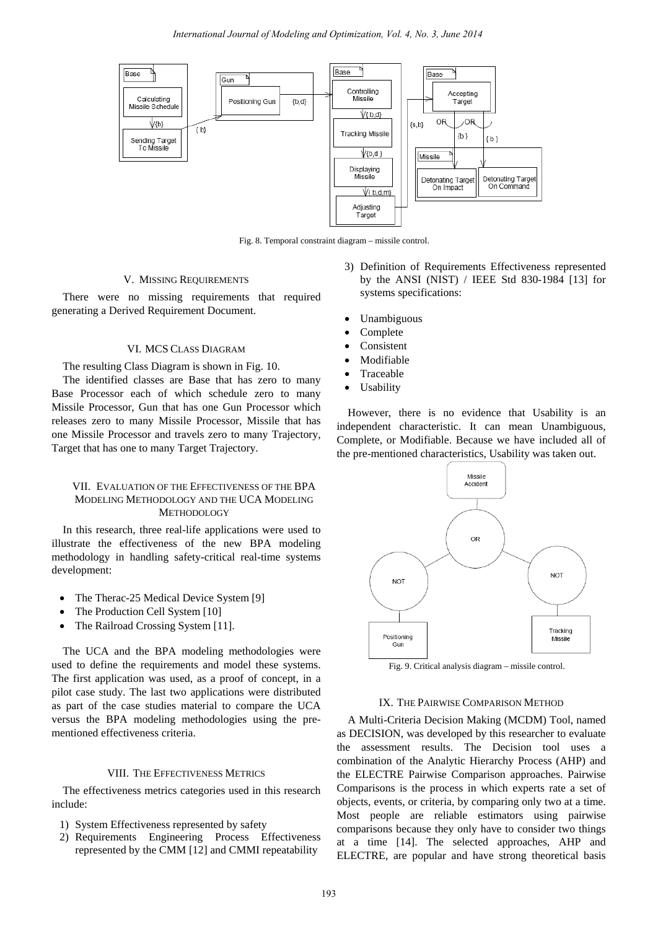

Fig. 8. Temporal constraint diagram – missile control.

#### V. MISSING REQUIREMENTS

There were no missing requirements that required generating a Derived Requirement Document.

#### VI. MCS CLASS DIAGRAM

The resulting Class Diagram is shown in Fig. 10.

The identified classes are Base that has zero to many Base Processor each of which schedule zero to many Missile Processor, Gun that has one Gun Processor which releases zero to many Missile Processor, Missile that has one Missile Processor and travels zero to many Trajectory, Target that has one to many Target Trajectory.

## VII. EVALUATION OF THE EFFECTIVENESS OF THE BPA MODELING METHODOLOGY AND THE UCA MODELING METHODOLOGY

In this research, three real-life applications were used to illustrate the effectiveness of the new BPA modeling methodology in handling safety-critical real-time systems development:

- The Therac-25 Medical Device System [9]
- The Production Cell System [10]
- The Railroad Crossing System [11].

The UCA and the BPA modeling methodologies were used to define the requirements and model these systems. The first application was used, as a proof of concept, in a pilot case study. The last two applications were distributed as part of the case studies material to compare the UCA versus the BPA modeling methodologies using the prementioned effectiveness criteria.

## VIII. THE EFFECTIVENESS METRICS

The effectiveness metrics categories used in this research include:

- 1) System Effectiveness represented by safety
- 2) Requirements Engineering Process Effectiveness represented by the CMM [12] and CMMI repeatability
- 3) Definition of Requirements Effectiveness represented by the ANSI (NIST) / IEEE Std 830-1984 [13] for systems specifications:
- Unambiguous
- **Complete**
- **Consistent**
- Modifiable
- **Traceable**
- **Usability**

However, there is no evidence that Usability is an independent characteristic. It can mean Unambiguous, Complete, or Modifiable. Because we have included all of the pre-mentioned characteristics, Usability was taken out.



Fig. 9. Critical analysis diagram – missile control.

#### IX. THE PAIRWISE COMPARISON METHOD

A Multi-Criteria Decision Making (MCDM) Tool, named as DECISION, was developed by this researcher to evaluate the assessment results. The Decision tool uses a combination of the Analytic Hierarchy Process (AHP) and the ELECTRE Pairwise Comparison approaches. Pairwise Comparisons is the process in which experts rate a set of objects, events, or criteria, by comparing only two at a time. Most people are reliable estimators using pairwise comparisons because they only have to consider two things at a time [14]. The selected approaches, AHP and ELECTRE, are popular and have strong theoretical basis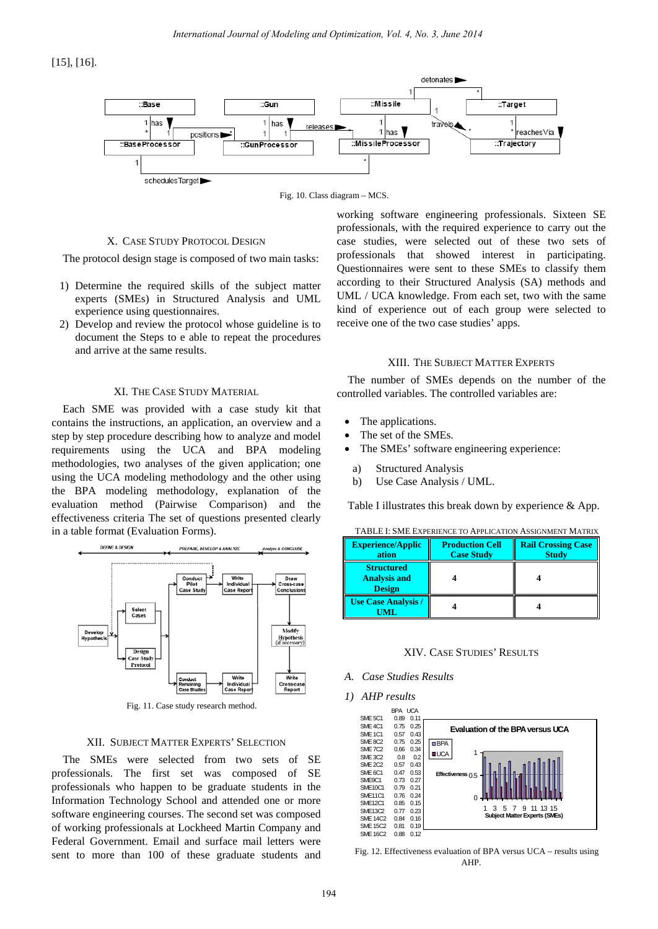[15], [16].





## X. CASE STUDY PROTOCOL DESIGN

The protocol design stage is composed of two main tasks:

- 1) Determine the required skills of the subject matter experts (SMEs) in Structured Analysis and UML experience using questionnaires.
- 2) Develop and review the protocol whose guideline is to document the Steps to e able to repeat the procedures and arrive at the same results.

## XI. THE CASE STUDY MATERIAL

Each SME was provided with a case study kit that contains the instructions, an application, an overview and a step by step procedure describing how to analyze and model requirements using the UCA and BPA modeling methodologies, two analyses of the given application; one using the UCA modeling methodology and the other using the BPA modeling methodology, explanation of the evaluation method (Pairwise Comparison) and the effectiveness criteria The set of questions presented clearly in a table format (Evaluation Forms).



Fig. 11. Case study research method.

#### XII. SUBJECT MATTER EXPERTS' SELECTION

The SMEs were selected from two sets of SE professionals. The first set was composed of SE professionals who happen to be graduate students in the Information Technology School and attended one or more software engineering courses. The second set was composed of working professionals at Lockheed Martin Company and Federal Government. Email and surface mail letters were sent to more than 100 of these graduate students and working software engineering professionals. Sixteen SE professionals, with the required experience to carry out the case studies, were selected out of these two sets of professionals that showed interest in participating. Questionnaires were sent to these SMEs to classify them according to their Structured Analysis (SA) methods and UML / UCA knowledge. From each set, two with the same kind of experience out of each group were selected to receive one of the two case studies' apps.

#### XIII. THE SUBJECT MATTER EXPERTS

The number of SMEs depends on the number of the controlled variables. The controlled variables are:

- The applications.
- The set of the SMEs.
- The SMEs' software engineering experience:
	- a) Structured Analysis
	- b) Use Case Analysis / UML.

Table I illustrates this break down by experience & App.  $T_{\rm A}$   $\sim$   $T_{\rm A}$   $\sim$   $T_{\rm B}$   $\sim$   $T_{\rm A}$   $\sim$   $T_{\rm A}$   $\sim$   $T_{\rm A}$   $\sim$   $T_{\rm A}$   $\sim$   $T_{\rm A}$   $\sim$   $T_{\rm A}$   $\sim$   $T_{\rm A}$   $\sim$   $T_{\rm A}$   $\sim$   $T_{\rm A}$   $\sim$   $T_{\rm A}$   $\sim$   $T_{\rm A}$   $\sim$   $T_{\rm A}$   $\sim$   $T_{\rm A}$   $\$ 

| TABLE F. SME EXPERIENCE TO APPLICATION ASSIGNMENT MATRIX  |                                             |                                           |  |
|-----------------------------------------------------------|---------------------------------------------|-------------------------------------------|--|
| <b>Experience/Applic</b><br>ation                         | <b>Production Cell</b><br><b>Case Study</b> | <b>Rail Crossing Case</b><br><b>Study</b> |  |
| <b>Structured</b><br><b>Analysis and</b><br><b>Design</b> |                                             |                                           |  |
| <b>Use Case Analysis /</b><br>UML.                        |                                             |                                           |  |

#### XIV. CASE STUDIES' RESULTS

- *A. Case Studies Results*
- *1) AHP results*



Fig. 12. Effectiveness evaluation of BPA versus UCA – results using AHP.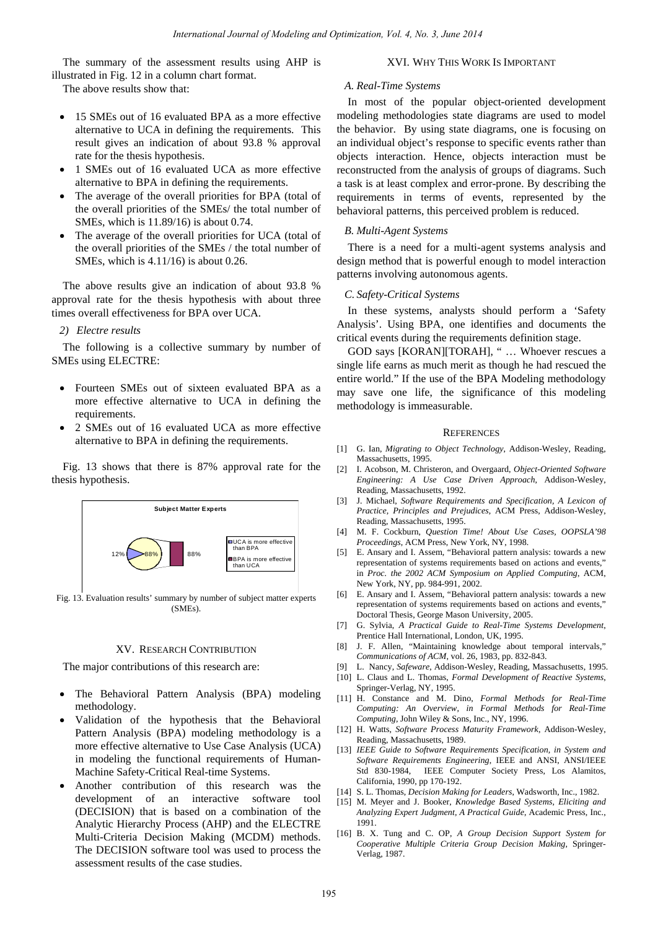The summary of the assessment results using AHP is illustrated in Fig. 12 in a column chart format.

The above results show that:

- 15 SMEs out of 16 evaluated BPA as a more effective alternative to UCA in defining the requirements. This result gives an indication of about 93.8 % approval rate for the thesis hypothesis.
- 1 SMEs out of 16 evaluated UCA as more effective alternative to BPA in defining the requirements.
- The average of the overall priorities for BPA (total of the overall priorities of the SMEs/ the total number of SMEs, which is 11.89/16) is about 0.74.
- The average of the overall priorities for UCA (total of the overall priorities of the SMEs / the total number of SMEs, which is 4.11/16) is about 0.26.

The above results give an indication of about 93.8 % approval rate for the thesis hypothesis with about three times overall effectiveness for BPA over UCA.

#### *2) Electre results*

The following is a collective summary by number of SMEs using ELECTRE:

- Fourteen SMEs out of sixteen evaluated BPA as a more effective alternative to UCA in defining the requirements.
- 2 SMEs out of 16 evaluated UCA as more effective alternative to BPA in defining the requirements.

Fig. 13 shows that there is 87% approval rate for the thesis hypothesis.



Fig. 13. Evaluation results' summary by number of subject matter experts (SMEs).

#### XV. RESEARCH CONTRIBUTION

The major contributions of this research are:

- The Behavioral Pattern Analysis (BPA) modeling methodology.
- Validation of the hypothesis that the Behavioral Pattern Analysis (BPA) modeling methodology is a more effective alternative to Use Case Analysis (UCA) in modeling the functional requirements of Human-Machine Safety-Critical Real-time Systems.
- Another contribution of this research was the development of an interactive software tool (DECISION) that is based on a combination of the Analytic Hierarchy Process (AHP) and the ELECTRE Multi-Criteria Decision Making (MCDM) methods. The DECISION software tool was used to process the assessment results of the case studies.

#### XVI. WHY THIS WORK IS IMPORTANT

#### *A. Real-Time Systems*

In most of the popular object-oriented development modeling methodologies state diagrams are used to model the behavior. By using state diagrams, one is focusing on an individual object's response to specific events rather than objects interaction. Hence, objects interaction must be reconstructed from the analysis of groups of diagrams. Such a task is at least complex and error-prone. By describing the requirements in terms of events, represented by the behavioral patterns, this perceived problem is reduced.

#### *B. Multi-Agent Systems*

There is a need for a multi-agent systems analysis and design method that is powerful enough to model interaction patterns involving autonomous agents.

## *C. Safety-Critical Systems*

In these systems, analysts should perform a 'Safety Analysis'. Using BPA, one identifies and documents the critical events during the requirements definition stage.

GOD says [KORAN][TORAH], " … Whoever rescues a single life earns as much merit as though he had rescued the entire world." If the use of the BPA Modeling methodology may save one life, the significance of this modeling methodology is immeasurable.

#### **REFERENCES**

- [1] G. Ian, *Migrating to Object Technology*, Addison-Wesley, Reading, Massachusetts, 1995.
- [2] I. Acobson, M. Christeron, and Overgaard, *Object-Oriented Software Engineering: A Use Case Driven Approach*, Addison-Wesley, Reading, Massachusetts, 1992.
- [3] J. Michael, *Software Requirements and Specification, A Lexicon of Practice, Principles and Prejudices*, ACM Press, Addison-Wesley, Reading, Massachusetts, 1995.
- [4] M. F. Cockburn, *Question Time! About Use Cases, OOPSLA'98 Proceedings*, ACM Press, New York, NY, 1998.
- [5] E. Ansary and I. Assem, "Behavioral pattern analysis: towards a new representation of systems requirements based on actions and events," in *Proc. the 2002 ACM Symposium on Applied Computing*, ACM, New York, NY, pp. 984-991, 2002.
- [6] E. Ansary and I. Assem, "Behavioral pattern analysis: towards a new representation of systems requirements based on actions and events," Doctoral Thesis, George Mason University, 2005.
- [7] G. Sylvia, *A Practical Guide to Real-Time Systems Development*, Prentice Hall International, London, UK, 1995.
- [8] J. F. Allen, "Maintaining knowledge about temporal intervals," *Communications of ACM*, vol. 26, 1983, pp. 832-843.
- [9] L. Nancy, *Safeware*, Addison-Wesley, Reading, Massachusetts, 1995. [10] L. Claus and L. Thomas, *Formal Development of Reactive Systems*,
- Springer-Verlag, NY, 1995.
- [11] H. Constance and M. Dino, *Formal Methods for Real-Time Computing: An Overview, in Formal Methods for Real-Time Computing*, John Wiley & Sons, Inc., NY, 1996.
- [12] H. Watts, *Software Process Maturity Framework*, Addison-Wesley, Reading, Massachusetts, 1989.
- [13] *IEEE Guide to Software Requirements Specification, in System and Software Requirements Engineering*, IEEE and ANSI, ANSI/IEEE Std 830-1984, IEEE Computer Society Press, Los Alamitos, California, 1990, pp 170-192.
- [14] S. L. Thomas, *Decision Making for Leaders*, Wadsworth, Inc., 1982.
- [15] M. Meyer and J. Booker, *Knowledge Based Systems, Eliciting and Analyzing Expert Judgment, A Practical Guide*, Academic Press, Inc., 1991.
- [16] B. X. Tung and C. OP, *A Group Decision Support System for Cooperative Multiple Criteria Group Decision Making*, Springer-Verlag, 1987.